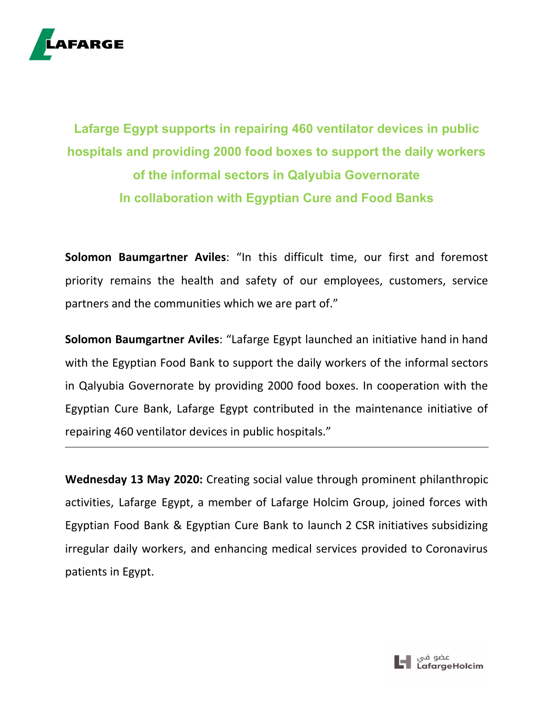

## **Lafarge Egypt supports in repairing 460 ventilator devices in public hospitals and providing 2000 food boxes to support the daily workers of the informal sectors in Qalyubia Governorate In collaboration with Egyptian Cure and Food Banks**

**Solomon Baumgartner Aviles**: "In this difficult time, our first and foremost priority remains the health and safety of our employees, customers, service partners and the communities which we are part of."

**Solomon Baumgartner Aviles**: "Lafarge Egypt launched an initiative hand in hand with the Egyptian Food Bank to support the daily workers of the informal sectors in Qalyubia Governorate by providing 2000 food boxes. In cooperation with the Egyptian Cure Bank, Lafarge Egypt contributed in the maintenance initiative of repairing 460 ventilator devices in public hospitals."

**Wednesday 13 May 2020:** Creating social value through prominent philanthropic activities, Lafarge Egypt, a member of Lafarge Holcim Group, joined forces with Egyptian Food Bank & Egyptian Cure Bank to launch 2 CSR initiatives subsidizing irregular daily workers, and enhancing medical services provided to Coronavirus patients in Egypt.

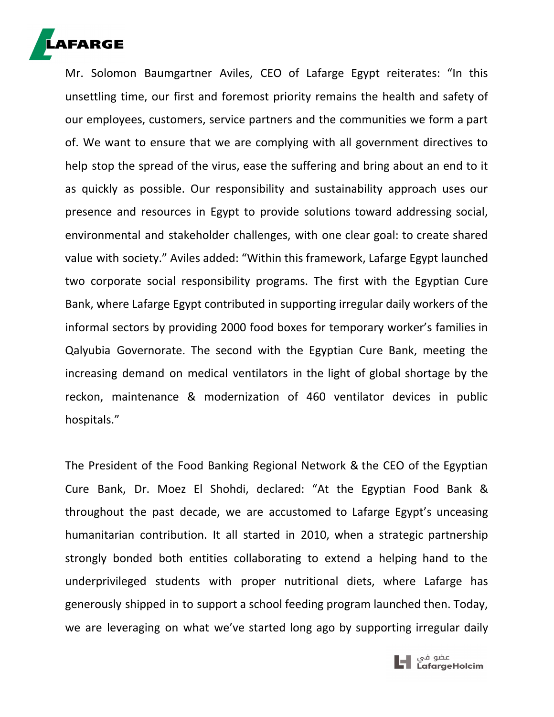

Mr. Solomon Baumgartner Aviles, CEO of Lafarge Egypt reiterates: "In this unsettling time, our first and foremost priority remains the health and safety of our employees, customers, service partners and the communities we form a part of. We want to ensure that we are complying with all government directives to help stop the spread of the virus, ease the suffering and bring about an end to it as quickly as possible. Our responsibility and sustainability approach uses our presence and resources in Egypt to provide solutions toward addressing social, environmental and stakeholder challenges, with one clear goal: to create shared value with society." Aviles added: "Within this framework, Lafarge Egypt launched two corporate social responsibility programs. The first with the Egyptian Cure Bank, where Lafarge Egypt contributed in supporting irregular daily workers of the informal sectors by providing 2000 food boxes for temporary worker's families in Qalyubia Governorate. The second with the Egyptian Cure Bank, meeting the increasing demand on medical ventilators in the light of global shortage by the reckon, maintenance & modernization of 460 ventilator devices in public hospitals."

The President of the Food Banking Regional Network & the CEO of the Egyptian Cure Bank, Dr. Moez El Shohdi, declared: "At the Egyptian Food Bank & throughout the past decade, we are accustomed to Lafarge Egypt's unceasing humanitarian contribution. It all started in 2010, when a strategic partnership strongly bonded both entities collaborating to extend a helping hand to the underprivileged students with proper nutritional diets, where Lafarge has generously shipped in to support a school feeding program launched then. Today, we are leveraging on what we've started long ago by supporting irregular daily